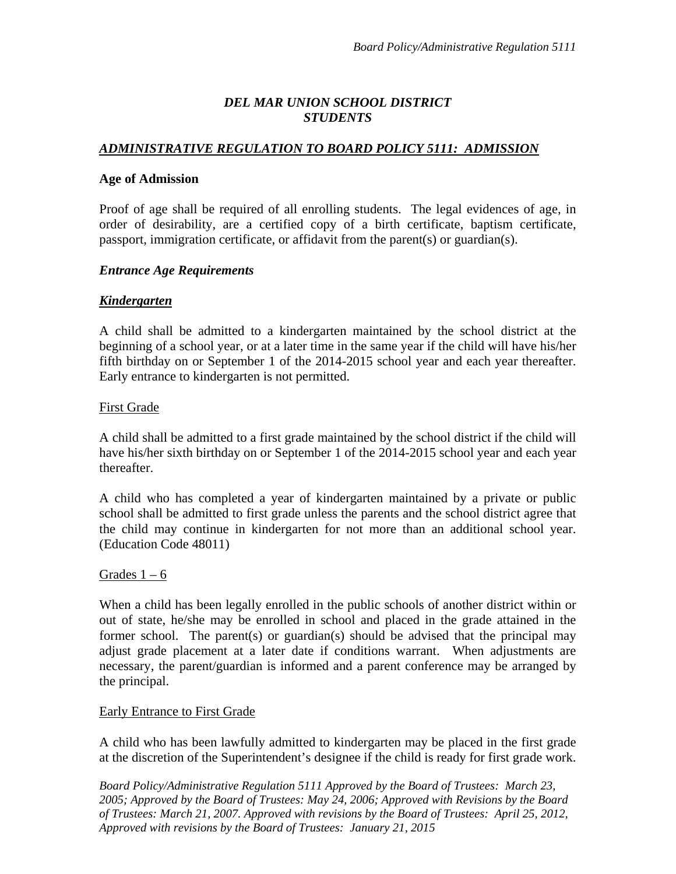# *DEL MAR UNION SCHOOL DISTRICT STUDENTS*

## *ADMINISTRATIVE REGULATION TO BOARD POLICY 5111: ADMISSION*

### **Age of Admission**

Proof of age shall be required of all enrolling students. The legal evidences of age, in order of desirability, are a certified copy of a birth certificate, baptism certificate, passport, immigration certificate, or affidavit from the parent(s) or guardian(s).

### *Entrance Age Requirements*

### *Kindergarten*

A child shall be admitted to a kindergarten maintained by the school district at the beginning of a school year, or at a later time in the same year if the child will have his/her fifth birthday on or September 1 of the 2014-2015 school year and each year thereafter. Early entrance to kindergarten is not permitted.

#### First Grade

A child shall be admitted to a first grade maintained by the school district if the child will have his/her sixth birthday on or September 1 of the 2014-2015 school year and each year thereafter.

A child who has completed a year of kindergarten maintained by a private or public school shall be admitted to first grade unless the parents and the school district agree that the child may continue in kindergarten for not more than an additional school year. (Education Code 48011)

#### Grades  $1 - 6$

When a child has been legally enrolled in the public schools of another district within or out of state, he/she may be enrolled in school and placed in the grade attained in the former school. The parent(s) or guardian(s) should be advised that the principal may adjust grade placement at a later date if conditions warrant. When adjustments are necessary, the parent/guardian is informed and a parent conference may be arranged by the principal.

### Early Entrance to First Grade

A child who has been lawfully admitted to kindergarten may be placed in the first grade at the discretion of the Superintendent's designee if the child is ready for first grade work.

*Board Policy/Administrative Regulation 5111 Approved by the Board of Trustees: March 23, 2005; Approved by the Board of Trustees: May 24, 2006; Approved with Revisions by the Board of Trustees: March 21, 2007. Approved with revisions by the Board of Trustees: April 25, 2012, Approved with revisions by the Board of Trustees: January 21, 2015*